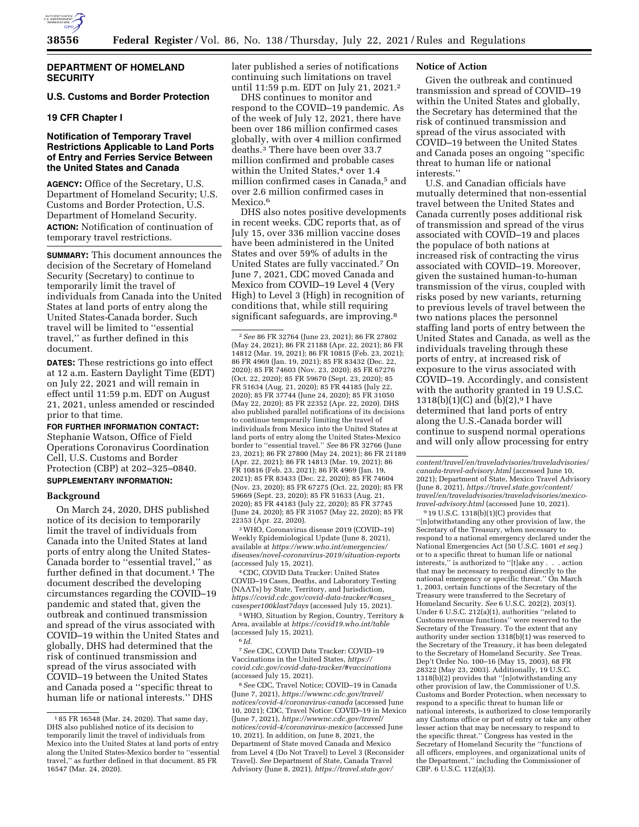

# **U.S. Customs and Border Protection**

## **19 CFR Chapter I**

# **Notification of Temporary Travel Restrictions Applicable to Land Ports of Entry and Ferries Service Between the United States and Canada**

**AGENCY:** Office of the Secretary, U.S. Department of Homeland Security; U.S. Customs and Border Protection, U.S. Department of Homeland Security. **ACTION:** Notification of continuation of temporary travel restrictions.

**SUMMARY:** This document announces the decision of the Secretary of Homeland Security (Secretary) to continue to temporarily limit the travel of individuals from Canada into the United States at land ports of entry along the United States-Canada border. Such travel will be limited to ''essential travel,'' as further defined in this document.

**DATES:** These restrictions go into effect at 12 a.m. Eastern Daylight Time (EDT) on July 22, 2021 and will remain in effect until 11:59 p.m. EDT on August 21, 2021, unless amended or rescinded prior to that time.

## **FOR FURTHER INFORMATION CONTACT:**

Stephanie Watson, Office of Field Operations Coronavirus Coordination Cell, U.S. Customs and Border Protection (CBP) at 202–325–0840.

# **SUPPLEMENTARY INFORMATION:**

## **Background**

On March 24, 2020, DHS published notice of its decision to temporarily limit the travel of individuals from Canada into the United States at land ports of entry along the United States-Canada border to ''essential travel,'' as further defined in that document.<sup>1</sup> The document described the developing circumstances regarding the COVID–19 pandemic and stated that, given the outbreak and continued transmission and spread of the virus associated with COVID–19 within the United States and globally, DHS had determined that the risk of continued transmission and spread of the virus associated with COVID–19 between the United States and Canada posed a ''specific threat to human life or national interests.'' DHS

later published a series of notifications continuing such limitations on travel until 11:59 p.m. EDT on July 21, 2021.2

DHS continues to monitor and respond to the COVID–19 pandemic. As of the week of July 12, 2021, there have been over 186 million confirmed cases globally, with over 4 million confirmed deaths.3 There have been over 33.7 million confirmed and probable cases within the United States,<sup>4</sup> over 1.4 million confirmed cases in Canada,5 and over 2.6 million confirmed cases in Mexico.<sup>6</sup>

DHS also notes positive developments in recent weeks. CDC reports that, as of July 15, over 336 million vaccine doses have been administered in the United States and over 59% of adults in the United States are fully vaccinated.7 On June 7, 2021, CDC moved Canada and Mexico from COVID–19 Level 4 (Very High) to Level 3 (High) in recognition of conditions that, while still requiring significant safeguards, are improving.<sup>8</sup>

2*See* 86 FR 32764 (June 23, 2021); 86 FR 27802 (May 24, 2021); 86 FR 21188 (Apr. 22, 2021); 86 FR 14812 (Mar. 19, 2021); 86 FR 10815 (Feb. 23, 2021); 86 FR 4969 (Jan. 19, 2021); 85 FR 83432 (Dec. 22, 2020); 85 FR 74603 (Nov. 23, 2020); 85 FR 67276 (Oct. 22, 2020); 85 FR 59670 (Sept. 23, 2020); 85 FR 51634 (Aug. 21, 2020); 85 FR 44185 (July 22, 2020); 85 FR 37744 (June 24, 2020); 85 FR 31050 (May 22, 2020); 85 FR 22352 (Apr. 22, 2020). DHS also published parallel notifications of its decisions to continue temporarily limiting the travel of individuals from Mexico into the United States at land ports of entry along the United States-Mexico border to ''essential travel.'' *See* 86 FR 32766 (June 23, 2021); 86 FR 27800 (May 24, 2021); 86 FR 21189 (Apr. 22, 2021); 86 FR 14813 (Mar. 19, 2021); 86 FR 10816 (Feb. 23, 2021); 86 FR 4969 (Jan. 19, 2021); 85 FR 83433 (Dec. 22, 2020); 85 FR 74604 (Nov. 23, 2020); 85 FR 67275 (Oct. 22, 2020); 85 FR 59669 (Sept. 23, 2020); 85 FR 51633 (Aug. 21, 2020); 85 FR 44183 (July 22, 2020); 85 FR 37745 (June 24, 2020); 85 FR 31057 (May 22, 2020); 85 FR 22353 (Apr. 22, 2020).

3WHO, Coronavirus disease 2019 (COVID–19) Weekly Epidemiological Update (June 8, 2021), available at *[https://www.who.int/emergencies/](https://www.who.int/emergencies/diseases/novel-coronavirus-2019/situation-reports) [diseases/novel-coronavirus-2019/situation-reports](https://www.who.int/emergencies/diseases/novel-coronavirus-2019/situation-reports)*  (accessed July 15, 2021).

4CDC, COVID Data Tracker: United States COVID–19 Cases, Deaths, and Laboratory Testing (NAATs) by State, Territory, and Jurisdiction, *[https://covid.cdc.gov/covid-data-tracker/#cases](https://covid.cdc.gov/covid-data-tracker/#cases_casesper100klast7days)*\_ *[casesper100klast7days](https://covid.cdc.gov/covid-data-tracker/#cases_casesper100klast7days)* (accessed July 15, 2021).

5WHO, Situation by Region, Country, Territory & Area, available at *<https://covid19.who.int/table>*  (accessed July 15, 2021). 6 *Id.* 

7*See* CDC, COVID Data Tracker: COVID–19 Vaccinations in the United States, *[https://](https://covid.cdc.gov/covid-data-tracker/#vaccinations) [covid.cdc.gov/covid-data-tracker/#vaccinations](https://covid.cdc.gov/covid-data-tracker/#vaccinations)*  (accessed July 15, 2021).

8*See* CDC, Travel Notice; COVID–19 in Canada (June 7, 2021), *[https://wwwnc.cdc.gov/travel/](https://wwwnc.cdc.gov/travel/notices/covid-4/coronavirus-canada)  [notices/covid-4/coronavirus-canada](https://wwwnc.cdc.gov/travel/notices/covid-4/coronavirus-canada)* (accessed June 10, 2021); CDC, Travel Notice: COVID–19 in Mexico (June 7, 2021), *[https://wwwnc.cdc.gov/travel/](https://wwwnc.cdc.gov/travel/notices/covid-4/coronavirus-mexico)  [notices/covid-4/coronavirus-mexico](https://wwwnc.cdc.gov/travel/notices/covid-4/coronavirus-mexico)* (accessed June 10, 2021). In addition, on June 8, 2021, the Department of State moved Canada and Mexico from Level 4 (Do Not Travel) to Level 3 (Reconsider Travel). *See* Department of State, Canada Travel Advisory (June 8, 2021), *[https://travel.state.gov/](https://travel.state.gov/content/travel/en/traveladvisories/traveladvisories/canada-travel-advisory.html)* 

## **Notice of Action**

Given the outbreak and continued transmission and spread of COVID–19 within the United States and globally, the Secretary has determined that the risk of continued transmission and spread of the virus associated with COVID–19 between the United States and Canada poses an ongoing ''specific threat to human life or national interests.''

U.S. and Canadian officials have mutually determined that non-essential travel between the United States and Canada currently poses additional risk of transmission and spread of the virus associated with COVID–19 and places the populace of both nations at increased risk of contracting the virus associated with COVID–19. Moreover, given the sustained human-to-human transmission of the virus, coupled with risks posed by new variants, returning to previous levels of travel between the two nations places the personnel staffing land ports of entry between the United States and Canada, as well as the individuals traveling through these ports of entry, at increased risk of exposure to the virus associated with COVID–19. Accordingly, and consistent with the authority granted in 19 U.S.C. 1318(b)(1)(C) and (b)(2), $9$  I have determined that land ports of entry along the U.S.-Canada border will continue to suspend normal operations and will only allow processing for entry

9 19 U.S.C. 1318(b)(1)(C) provides that ''[n]otwithstanding any other provision of law, the Secretary of the Treasury, when necessary to respond to a national emergency declared under the National Emergencies Act (50 U.S.C. 1601 *et seq.*) or to a specific threat to human life or national interests,'' is authorized to ''[t]ake any . . . action that may be necessary to respond directly to the national emergency or specific threat.'' On March 1, 2003, certain functions of the Secretary of the Treasury were transferred to the Secretary of Homeland Security. *See* 6 U.S.C. 202(2), 203(1). Under 6 U.S.C. 212(a)(1), authorities ''related to Customs revenue functions'' were reserved to the Secretary of the Treasury. To the extent that any authority under section 1318(b)(1) was reserved to the Secretary of the Treasury, it has been delegated to the Secretary of Homeland Security. *See* Treas. Dep't Order No. 100–16 (May 15, 2003), 68 FR 28322 (May 23, 2003). Additionally, 19 U.S.C. 1318(b)(2) provides that ''[n]otwithstanding any other provision of law, the Commissioner of U.S. Customs and Border Protection, when necessary to respond to a specific threat to human life or national interests, is authorized to close temporarily any Customs office or port of entry or take any other lesser action that may be necessary to respond to the specific threat.'' Congress has vested in the Secretary of Homeland Security the ''functions of all officers, employees, and organizational units of the Department,'' including the Commissioner of CBP. 6 U.S.C. 112(a)(3).

<sup>1</sup> 85 FR 16548 (Mar. 24, 2020). That same day, DHS also published notice of its decision to temporarily limit the travel of individuals from Mexico into the United States at land ports of entry along the United States-Mexico border to ''essential travel,'' as further defined in that document. 85 FR 16547 (Mar. 24, 2020).

*[content/travel/en/traveladvisories/traveladvisories/](https://travel.state.gov/content/travel/en/traveladvisories/traveladvisories/canada-travel-advisory.html) [canada-travel-advisory.html](https://travel.state.gov/content/travel/en/traveladvisories/traveladvisories/canada-travel-advisory.html)* (accessed June 10, 2021); Department of State, Mexico Travel Advisory (June 8, 2021), *[https://travel.state.gov/content/](https://travel.state.gov/content/travel/en/traveladvisories/traveladvisories/mexico-travel-advisory.html)  [travel/en/traveladvisories/traveladvisories/mexico](https://travel.state.gov/content/travel/en/traveladvisories/traveladvisories/mexico-travel-advisory.html)[travel-advisory.html](https://travel.state.gov/content/travel/en/traveladvisories/traveladvisories/mexico-travel-advisory.html)* (accessed June 10, 2021).